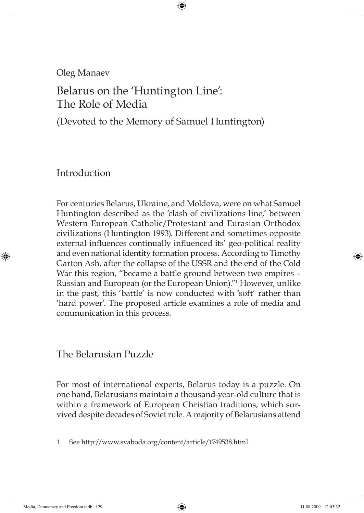Oleg Manaev

# Belarus on the 'Huntington Line': The Role of Media

(Devoted to the Memory of Samuel Huntington)

⊕

Introduction

⊕

For centuries Belarus, Ukraine, and Moldova, were on what Samuel Huntington described as the 'clash of civilizations line,' between Western European Catholic/Protestant and Eurasian Orthodox civilizations (Huntington 1993). Different and sometimes opposite external influences continually influenced its' geo-political reality and even national identity formation process. According to Timothy Garton Ash, after the collapse of the USSR and the end of the Cold War this region, "became a battle ground between two empires – Russian and European (or the European Union)."1 However, unlike in the past, this 'battle' is now conducted with 'soft' rather than 'hard power'. The proposed article examines a role of media and communication in this process.

The Belarusian Puzzle

For most of international experts, Belarus today is a puzzle. On one hand, Belarusians maintain a thousand-year-old culture that is within a framework of European Christian traditions, which survived despite decades of Soviet rule. A majority of Belarusians attend

1 See http://www.svaboda.org/content/article/1749538.html.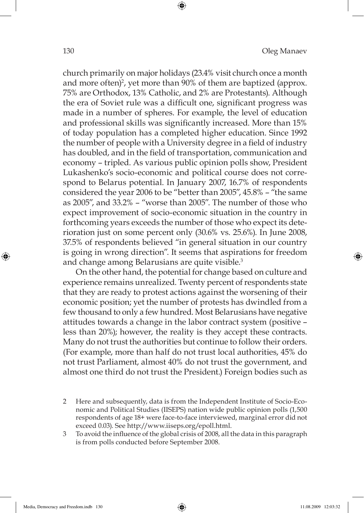church primarily on major holidays (23.4% visit church once a month and more often)<sup>2</sup>, yet more than 90% of them are baptized (approx. 75% are Orthodox, 13% Catholic, and 2% are Protestants). Although the era of Soviet rule was a difficult one, significant progress was made in a number of spheres. For example, the level of education and professional skills was significantly increased. More than 15% of today population has a completed higher education. Since 1992 the number of people with a University degree in a field of industry has doubled, and in the field of transportation, communication and economy – tripled. As various public opinion polls show, President Lukashenko's socio-economic and political course does not correspond to Belarus potential. In January 2007, 16.7% of respondents considered the year 2006 to be "better than 2005", 45.8% – "the same as 2005", and 33.2% – "worse than 2005". The number of those who expect improvement of socio-economic situation in the country in forthcoming years exceeds the number of those who expect its deterioration just on some percent only (30.6% vs. 25.6%). In June 2008, 37.5% of respondents believed "in general situation in our country is going in wrong direction". It seems that aspirations for freedom and change among Belarusians are quite visible.<sup>3</sup>

⊕

On the other hand, the potential for change based on culture and experience remains unrealized. Twenty percent of respondents state that they are ready to protest actions against the worsening of their economic position; yet the number of protests has dwindled from a few thousand to only a few hundred. Most Belarusians have negative attitudes towards a change in the labor contract system (positive – less than 20%); however, the reality is they accept these contracts. Many do not trust the authorities but continue to follow their orders. (For example, more than half do not trust local authorities, 45% do not trust Parliament, almost 40% do not trust the government, and almost one third do not trust the President.) Foreign bodies such as

- 2 Here and subsequently, data is from the Independent Institute of Socio-Economic and Political Studies (IISEPS) nation wide public opinion polls (1,500 respondents of age 18+ were face-to-face interviewed, marginal error did not exceed 0.03). See http://www.iiseps.org/epoll.html.
- To avoid the influence of the global crisis of 2008, all the data in this paragraph is from polls conducted before September 2008.

⊕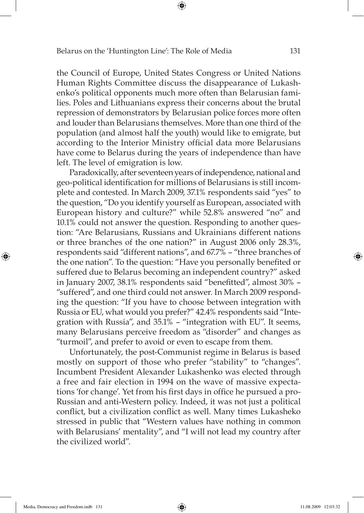the Council of Europe, United States Congress or United Nations Human Rights Committee discuss the disappearance of Lukashenko's political opponents much more often than Belarusian families. Poles and Lithuanians express their concerns about the brutal repression of demonstrators by Belarusian police forces more often and louder than Belarusians themselves. More than one third of the population (and almost half the youth) would like to emigrate, but according to the Interior Ministry official data more Belarusians have come to Belarus during the years of independence than have left. The level of emigration is low.

⊕

Paradoxically, after seventeen years of independence, national and geo-political identification for millions of Belarusians is still incomplete and contested. In March 2009, 37.1% respondents said "yes" to the question, "Do you identify yourself as European, associated with European history and culture?" while 52.8% answered "no" and 10.1% could not answer the question. Responding to another question: "Are Belarusians, Russians and Ukrainians different nations or three branches of the one nation?" in August 2006 only 28.3%, respondents said "different nations", and 67.7% – "three branches of the one nation". To the question: "Have you personally benefited or suffered due to Belarus becoming an independent country?" asked in January 2007, 38.1% respondents said "benefitted", almost 30% -"suffered", and one third could not answer. In March 2009 responding the question: "If you have to choose between integration with Russia or EU, what would you prefer?" 42.4% respondents said "Integration with Russia", and 35.1% – "integration with EU". It seems, many Belarusians perceive freedom as "disorder" and changes as "turmoil", and prefer to avoid or even to escape from them.

Unfortunately, the post-Communist regime in Belarus is based mostly on support of those who prefer "stability" to "changes". Incumbent President Alexander Lukashenko was elected through a free and fair election in 1994 on the wave of massive expectations 'for change'. Yet from his first days in office he pursued a pro-Russian and anti-Western policy. Indeed, it was not just a political conflict, but a civilization conflict as well. Many times Lukasheko stressed in public that "Western values have nothing in common with Belarusians' mentality", and "I will not lead my country after the civilized world".

⊕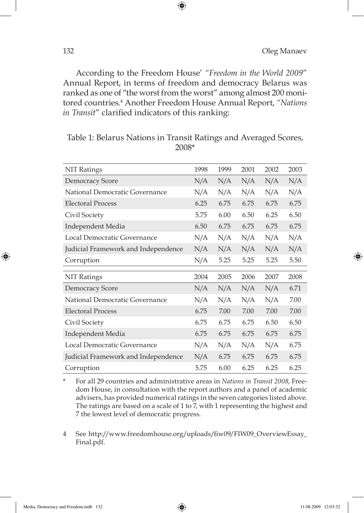According to the Freedom House' *"Freedom in the World 2009*" Annual Report, in terms of freedom and democracy Belarus was ranked as one of "the worst from the worst" among almost 200 monitored countries.4 Another Freedom House Annual Report, *"Nations in Transit"* clarified indicators of this ranking:

⊕

| <b>NIT Ratings</b>                  | 1998 | 1999 | 2001 | 2002 | 2003 |
|-------------------------------------|------|------|------|------|------|
| Democracy Score                     | N/A  | N/A  | N/A  | N/A  | N/A  |
| National Democratic Governance      | N/A  | N/A  | N/A  | N/A  | N/A  |
| <b>Electoral Process</b>            | 6.25 | 6.75 | 6.75 | 6.75 | 6.75 |
| Civil Society                       | 5.75 | 6.00 | 6.50 | 6.25 | 6.50 |
| Independent Media                   | 6.50 | 6.75 | 6.75 | 6.75 | 6.75 |
| Local Democratic Governance         | N/A  | N/A  | N/A  | N/A  | N/A  |
| Judicial Framework and Independence | N/A  | N/A  | N/A  | N/A  | N/A  |
| Corruption                          | N/A  | 5.25 | 5.25 | 5.25 | 5.50 |
|                                     |      |      |      |      |      |
|                                     |      |      |      |      |      |
| <b>NIT Ratings</b>                  | 2004 | 2005 | 2006 | 2007 | 2008 |
| Democracy Score                     | N/A  | N/A  | N/A  | N/A  | 6.71 |
| National Democratic Governance      | N/A  | N/A  | N/A  | N/A  | 7.00 |
| <b>Electoral Process</b>            | 6.75 | 7.00 | 7.00 | 7.00 | 7.00 |
| Civil Society                       | 6.75 | 6.75 | 6.75 | 6.50 | 6.50 |
| Independent Media                   | 6.75 | 6.75 | 6.75 | 6.75 | 6.75 |
| Local Democratic Governance         | N/A  | N/A  | N/A  | N/A  | 6.75 |
| Judicial Framework and Independence | N/A  | 6.75 | 6.75 | 6.75 | 6.75 |

### Table 1: Belarus Nations in Transit Ratings and Averaged Scores, 2008\*

\* For all 29 countries and administrative areas in *Nations in Transit 2008*, Freedom House, in consultation with the report authors and a panel of academic advisers, has provided numerical ratings in the seven categories listed above. The ratings are based on a scale of 1 to 7, with 1 representing the highest and 7 the lowest level of democratic progress.

4 See http://www.freedomhouse.org/uploads/fiw09/FIW09\_OverviewEssay\_ Final.pdf.

⊕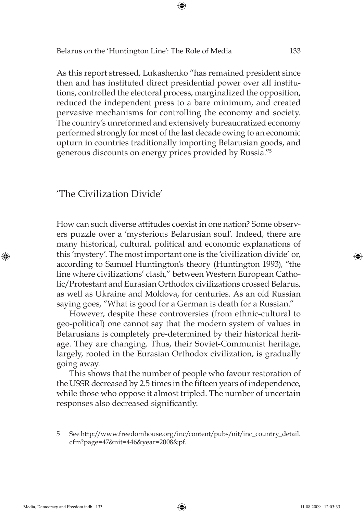As this report stressed, Lukashenko "has remained president since then and has instituted direct presidential power over all institutions, controlled the electoral process, marginalized the opposition, reduced the independent press to a bare minimum, and created pervasive mechanisms for controlling the economy and society. The country's unreformed and extensively bureaucratized economy performed strongly for most of the last decade owing to an economic upturn in countries traditionally importing Belarusian goods, and generous discounts on energy prices provided by Russia."5

⊕

# 'The Civilization Divide'

How can such diverse attitudes coexist in one nation? Some observers puzzle over a 'mysterious Belarusian soul'. Indeed, there are many historical, cultural, political and economic explanations of this 'mystery'. The most important one is the 'civilization divide' or, according to Samuel Huntington's theory (Huntington 1993), "the line where civilizations' clash," between Western European Catholic/Protestant and Eurasian Orthodox civilizations crossed Belarus, as well as Ukraine and Moldova, for centuries. As an old Russian saying goes, "What is good for a German is death for a Russian."

However, despite these controversies (from ethnic-cultural to geo-political) one cannot say that the modern system of values in Belarusians is completely pre-determined by their historical heritage. They are changing*.* Thus, their Soviet-Communist heritage, largely, rooted in the Eurasian Orthodox civilization, is gradually going away.

This shows that the number of people who favour restoration of the USSR decreased by 2.5 times in the fifteen years of independence, while those who oppose it almost tripled. The number of uncertain responses also decreased significantly.

5 See http://www.freedomhouse.org/inc/content/pubs/nit/inc\_country\_detail. cfm?page=47&nit=446&year=2008&pf.

⊕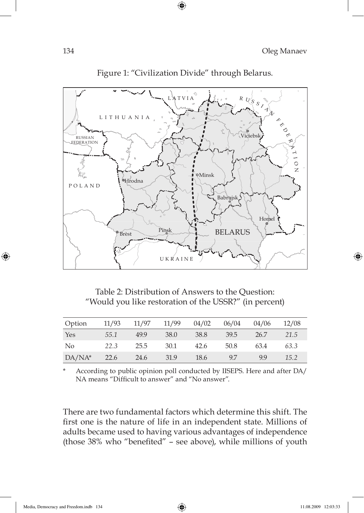

Figure 1: "Civilization Divide" through Belarus.

 $\bigoplus$ 

Table 2: Distribution of Answers to the Question: "Would you like restoration of the USSR?" (in percent)

| Option         | 11/93 | 11/97 | 11/99 | 04/02 | 06/04 | 04/06 | 12/08 |
|----------------|-------|-------|-------|-------|-------|-------|-------|
| Yes            | 55.1  | 49.9  | 38.0  | 38.8  | 39.5  | 26.7  | 21.5  |
| N <sub>o</sub> | 22.3  | 25.5  | 30.1  | 42.6  | 50.8  | 63.4  | 63.3  |
| $DA/NA^*$      | 22.6  | 24.6  | 31.9  | 18.6  | 9.7   | 99    | 15.2  |

According to public opinion poll conducted by IISEPS. Here and after DA/ NA means "Difficult to answer" and "No answer".

There are two fundamental factors which determine this shift. The first one is the nature of life in an independent state. Millions of adults became used to having various advantages of independence (those 38% who "benefited" - see above), while millions of youth

⊕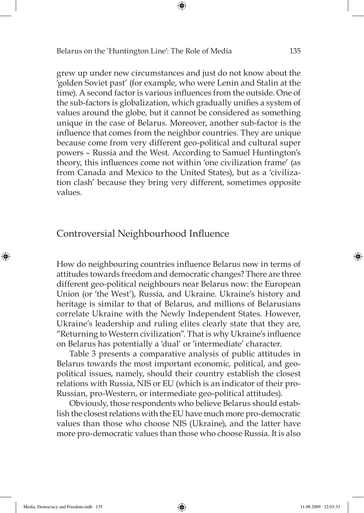grew up under new circumstances and just do not know about the 'golden Soviet past' (for example, who were Lenin and Stalin at the time). A second factor is various influences from the outside. One of the sub-factors is globalization, which gradually unifies a system of values around the globe, but it cannot be considered as something unique in the case of Belarus. Moreover, another sub-factor is the influence that comes from the neighbor countries. They are unique because come from very different geo-political and cultural super powers – Russia and the West. According to Samuel Huntington's theory, this influences come not within 'one civilization frame' (as from Canada and Mexico to the United States), but as a 'civilization clash' because they bring very different, sometimes opposite values.

⊕

### Controversial Neighbourhood Influence

How do neighbouring countries influence Belarus now in terms of attitudes towards freedom and democratic changes? There are three different geo-political neighbours near Belarus now: the European Union (or 'the West'), Russia, and Ukraine. Ukraine's history and heritage is similar to that of Belarus, and millions of Belarusians correlate Ukraine with the Newly Independent States. However, Ukraine's leadership and ruling elites clearly state that they are, "Returning to Western civilization". That is why Ukraine's influence on Belarus has potentially a 'dual' or 'intermediate' character.

Table 3 presents a comparative analysis of public attitudes in Belarus towards the most important economic, political, and geopolitical issues, namely, should their country establish the closest relations with Russia, NIS or EU (which is an indicator of their pro-Russian, pro-Western, or intermediate geo-political attitudes).

Obviously, those respondents who believe Belarus should establish the closest relations with the EU have much more pro-democratic values than those who choose NIS (Ukraine), and the latter have more pro-democratic values than those who choose Russia. It is also

Media, Democracy and Freedom.indb 135 **and 12:03:33** 11.08.2009 12:03:33

⊕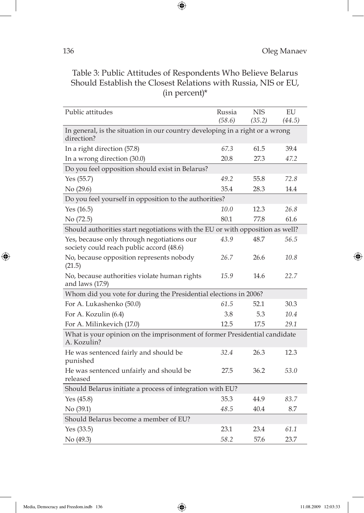Table 3: Public Attitudes of Respondents Who Believe Belarus Should Establish the Closest Relations with Russia, NIS or EU, (in percent)\*

 $\bigoplus$ 

| Public attitudes                                                                           | Russia<br>(58.6) | <b>NIS</b><br>(35.2) | EU<br>(44.5) |
|--------------------------------------------------------------------------------------------|------------------|----------------------|--------------|
|                                                                                            |                  |                      |              |
| In general, is the situation in our country developing in a right or a wrong<br>direction? |                  |                      |              |
| In a right direction (57.8)                                                                | 67.3             | 61.5                 | 39.4         |
| In a wrong direction (30.0)                                                                | 20.8             | 27.3                 | 47.2         |
| Do you feel opposition should exist in Belarus?                                            |                  |                      |              |
| Yes (55.7)                                                                                 | 49.2             | 55.8                 | 72.8         |
| No (29.6)                                                                                  | 35.4             | 28.3                 | 14.4         |
| Do you feel yourself in opposition to the authorities?                                     |                  |                      |              |
| Yes $(16.5)$                                                                               | 10.0             | 12.3                 | 26.8         |
| No (72.5)                                                                                  | 80.1             | 77.8                 | 61.6         |
| Should authorities start negotiations with the EU or with opposition as well?              |                  |                      |              |
| Yes, because only through negotiations our<br>society could reach public accord (48.6)     | 43.9             | 48.7                 | 56.5         |
| No, because opposition represents nobody<br>(21.5)                                         | 26.7             | 26.6                 | 10.8         |
| No, because authorities violate human rights<br>and laws (17.9)                            | 15.9             | 14.6                 | 22.7         |
| Whom did you vote for during the Presidential elections in 2006?                           |                  |                      |              |
| For A. Lukashenko (50.0)                                                                   | 61.5             | 52.1                 | 30.3         |
| For A. Kozulin (6.4)                                                                       | 3.8              | 5.3                  | 10.4         |
| For A. Milinkevich (17.0)                                                                  | 12.5             | 17.5                 | 29.1         |
| What is your opinion on the imprisonment of former Presidential candidate<br>A. Kozulin?   |                  |                      |              |
| He was sentenced fairly and should be<br>punished                                          | 32.4             | 26.3                 | 12.3         |
| He was sentenced unfairly and should be<br>released                                        | 27.5             | 36.2                 | 53.0         |
| Should Belarus initiate a process of integration with EU?                                  |                  |                      |              |
| Yes $(45.8)$                                                                               | 35.3             | 44.9                 | 83.7         |
| No (39.1)                                                                                  | 48.5             | 40.4                 | 8.7          |
| Should Belarus become a member of EU?                                                      |                  |                      |              |
| Yes $(33.5)$                                                                               | 23.1             | 23.4                 | 61.1         |
| No (49.3)                                                                                  | 58.2             | 57.6                 | 23.7         |

 $\bigoplus$ 

 $\bigoplus$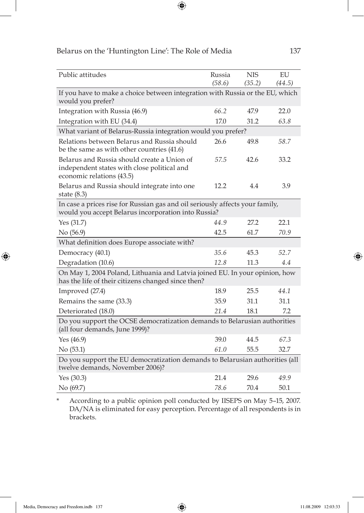| Public attitudes                                                                                                                    | Russia | <b>NIS</b> | EU     |
|-------------------------------------------------------------------------------------------------------------------------------------|--------|------------|--------|
|                                                                                                                                     | (58.6) | (35.2)     | (44.5) |
| If you have to make a choice between integration with Russia or the EU, which<br>would you prefer?                                  |        |            |        |
| Integration with Russia (46.9)                                                                                                      | 66.2   | 47.9       | 22.0   |
| Integration with EU (34.4)                                                                                                          | 17.0   | 31.2       | 63.8   |
| What variant of Belarus-Russia integration would you prefer?                                                                        |        |            |        |
| Relations between Belarus and Russia should<br>be the same as with other countries (41.6)                                           | 26.6   | 49.8       | 58.7   |
| Belarus and Russia should create a Union of<br>independent states with close political and<br>economic relations (43.5)             | 57.5   | 42.6       | 33.2   |
| Belarus and Russia should integrate into one<br>state $(8.3)$                                                                       | 12.2   | 4.4        | 3.9    |
| In case a prices rise for Russian gas and oil seriously affects your family,<br>would you accept Belarus incorporation into Russia? |        |            |        |
| Yes $(31.7)$                                                                                                                        | 44.9   | 27.2       | 22.1   |
| No (56.9)                                                                                                                           | 42.5   | 61.7       | 70.9   |
| What definition does Europe associate with?                                                                                         |        |            |        |
| Democracy (40.1)                                                                                                                    | 35.6   | 45.3       | 52.7   |
| Degradation (10.6)                                                                                                                  | 12.8   | 11.3       | 4.4    |
| On May 1, 2004 Poland, Lithuania and Latvia joined EU. In your opinion, how<br>has the life of their citizens changed since then?   |        |            |        |
| Improved (27.4)                                                                                                                     | 18.9   | 25.5       | 44.1   |
| Remains the same (33.3)                                                                                                             | 35.9   | 31.1       | 31.1   |
| Deteriorated (18.0)                                                                                                                 | 21.4   | 18.1       | 7.2    |
| Do you support the OCSE democratization demands to Belarusian authorities<br>(all four demands, June 1999)?                         |        |            |        |
| Yes $(46.9)$                                                                                                                        | 39.0   | 44.5       | 67.3   |
| No (53.1)                                                                                                                           | 61.0   | 55.5       | 32.7   |
| Do you support the EU democratization demands to Belarusian authorities (all<br>twelve demands, November 2006)?                     |        |            |        |
| Yes $(30.3)$                                                                                                                        | 21.4   | 29.6       | 49.9   |
| No (69.7)                                                                                                                           | 78.6   | 70.4       | 50.1   |

 $\bigoplus$ 

\* According to a public opinion poll conducted by IISEPS on May 5–15, 2007. DA/NA is eliminated for easy perception. Percentage of all respondents is in brackets.

 $\bigoplus$ 

 $\bigoplus$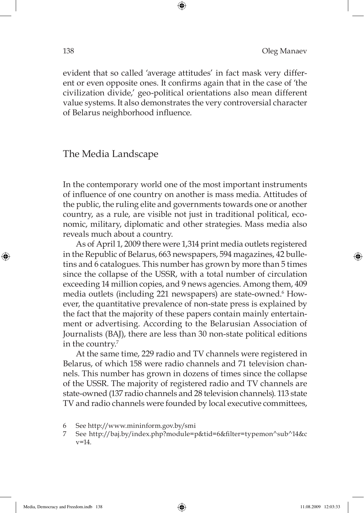evident that so called 'average attitudes' in fact mask very different or even opposite ones. It confirms again that in the case of 'the civilization divide,' geo-political orientations also mean different value systems. It also demonstrates the very controversial character of Belarus neighborhood influence.

⊕

The Media Landscape

In the contemporary world one of the most important instruments of infl uence of one country on another is mass media. Attitudes of the public, the ruling elite and governments towards one or another country, as a rule, are visible not just in traditional political, economic, military, diplomatic and other strategies. Mass media also reveals much about a country.

As of April 1, 2009 there were 1,314 print media outlets registered in the Republic of Belarus, 663 newspapers, 594 magazines, 42 bulletins and 6 catalogues. This number has grown by more than 5 times since the collapse of the USSR, with a total number of circulation exceeding 14 million copies, and 9 news agencies. Among them, 409 media outlets (including 221 newspapers) are state-owned.<sup>6</sup> However, the quantitative prevalence of non-state press is explained by the fact that the majority of these papers contain mainly entertainment or advertising. According to the Belarusian Association of Journalists (BAJ), there are less than 30 non-state political editions in the country.<sup>7</sup>

At the same time, 229 radio and TV channels were registered in Belarus, of which 158 were radio channels and 71 television channels. This number has grown in dozens of times since the collapse of the USSR. The majority of registered radio and TV channels are state-owned (137 radio channels and 28 television channels). 113 state TV and radio channels were founded by local executive committees,

⊕

<sup>6</sup> See http://www.mininform.gov.by/smi

<sup>7</sup> See http://baj.by/index.php?module=p&tid=6&fi lter=typemon^sub^14&c v=14.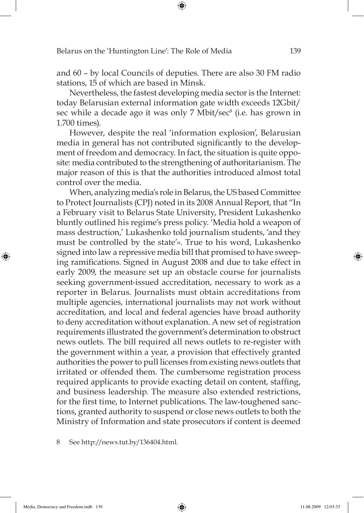and 60 – by local Councils of deputies. There are also 30 FM radio stations, 15 of which are based in Minsk.

⊕

Nevertheless, the fastest developing media sector is the Internet: today Belarusian external information gate width exceeds 12Gbit/ sec while a decade ago it was only 7 Mbit/sec<sup>8</sup> (i.e. has grown in 1.700 times).

However, despite the real 'information explosion', Belarusian media in general has not contributed significantly to the development of freedom and democracy. In fact, the situation is quite opposite: media contributed to the strengthening of authoritarianism. The major reason of this is that the authorities introduced almost total control over the media.

When, analyzing media's role in Belarus, the US based Committee to Protect Journalists (СPJ) noted in its 2008 Annual Report, that "In a February visit to Belarus State University, President Lukashenko bluntly outlined his regime's press policy. 'Media hold a weapon of mass destruction,' Lukashenko told journalism students, 'and they must be controlled by the state'». True to his word, Lukashenko signed into law a repressive media bill that promised to have sweeping ramifications. Signed in August 2008 and due to take effect in early 2009, the measure set up an obstacle course for journalists seeking government-issued accreditation, necessary to work as a reporter in Belarus. Journalists must obtain accreditations from multiple agencies, international journalists may not work without accreditation, and local and federal agencies have broad authority to deny accreditation without explanation. A new set of registration requirements illustrated the government's determination to obstruct news outlets. The bill required all news outlets to re-register with the government within a year, a provision that effectively granted authorities the power to pull licenses from existing news outlets that irritated or offended them. The cumbersome registration process required applicants to provide exacting detail on content, staffing, and business leadership. The measure also extended restrictions, for the first time, to Internet publications. The law-toughened sanctions, granted authority to suspend or close news outlets to both the Ministry of Information and state prosecutors if content is deemed

See http://news.tut.by/136404.html.

⊕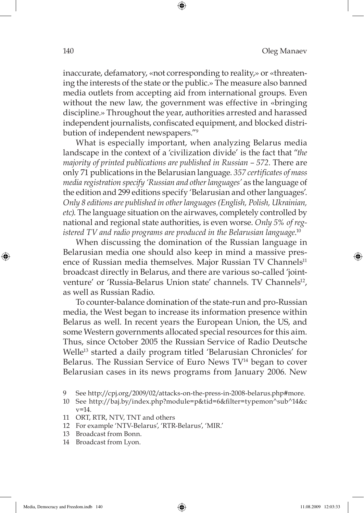inaccurate, defamatory, «not corresponding to reality,» or «threatening the interests of the state or the public.» The measure also banned media outlets from accepting aid from international groups. Even without the new law, the government was effective in «bringing discipline.» Throughout the year, authorities arrested and harassed independent journalists, confiscated equipment, and blocked distribution of independent newspapers."9

⊕

What is especially important, when analyzing Belarus media landscape in the context of a 'civilization divide' is the fact that "*the majority of printed publications are published in Russian – 572.* There are only 71 publications in the Belarusian language. *357 certifi cates of mass media registration specify 'Russian and other languages'* as the language of the edition and 299 editions specify 'Belarusian and other languages'. *Only 8 editions are published in other languages (English, Polish, Ukrainian, etc)*. The language situation on the airwaves, completely controlled by national and regional state authorities, is even worse. *Only 5% of registered TV and radio programs are produced in the Belarusian language*. 10

When discussing the domination of the Russian language in Belarusian media one should also keep in mind a massive presence of Russian media themselves. Major Russian TV Channels<sup>11</sup> broadcast directly in Belarus, and there are various so-called 'jointventure' or 'Russia-Belarus Union state' channels. TV Channels<sup>12</sup>, as well as Russian Radio.

To counter-balance domination of the state-run and pro-Russian media, the West began to increase its information presence within Belarus as well. In recent years the European Union, the US, and some Western governments allocated special resources for this aim. Thus, since October 2005 the Russian Service of Radio Deutsche Welle<sup>13</sup> started a daily program titled 'Belarusian Chronicles' for Belarus. The Russian Service of Euro News TV<sup>14</sup> began to cover Belarusian cases in its news programs from January 2006. New

- 12 For example 'NTV-Belarus', 'RTR-Belarus', 'MIR.'
- 13 Broadcast from Bonn.
- 14 Broadcast from Lyon.

⊕

Media, Democracy and Freedom.indb 140 edia and 140 edia and 11.08.2009 12:03:33

<sup>9</sup> See http://cpj.org/2009/02/attacks-on-the-press-in-2008-belarus.php#more.

<sup>10</sup> See http://baj.by/index.php?module=p&tid=6&fi lter=typemon^sub^14&c v=14.

<sup>11</sup> ORT, RTR, NTV, TNT and others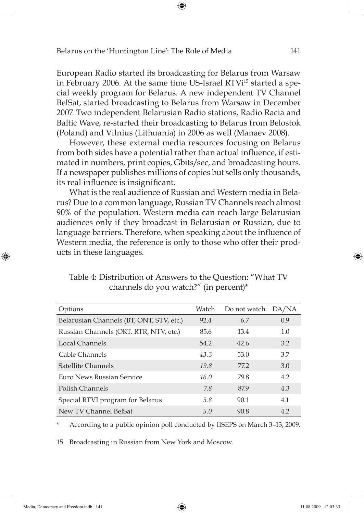European Radio started its broadcasting for Belarus from Warsaw in February 2006. At the same time US-Israel RTVi<sup>15</sup> started a special weekly program for Belarus. A new independent TV Channel BelSat, started broadcasting to Belarus from Warsaw in December 2007. Two independent Belarusian Radio stations, Radio Racia and Baltic Wave, re-started their broadcasting to Belarus from Belostok (Poland) and Vilnius (Lithuania) in 2006 as well (Manaev 2008).

⊕

However, these external media resources focusing on Belarus from both sides have a potential rather than actual influence, if estimated in numbers, print copies, Gbits/sec, and broadcasting hours. If a newspaper publishes millions of copies but sells only thousands, its real influence is insignificant.

What is the real audience of Russian and Western media in Belarus? Due to a common language, Russian TV Channels reach almost 90% of the population. Western media can reach large Belarusian audiences only if they broadcast in Belarusian or Russian, due to language barriers. Therefore, when speaking about the influence of Western media, the reference is only to those who offer their products in these languages.

| Options                                  | Watch | Do not watch | DA/NA |
|------------------------------------------|-------|--------------|-------|
| Belarusian Channels (BT, ONT, STV, etc.) | 92.4  | 6.7          | 0.9   |
| Russian Channels (ORT, RTR, NTV, etc.)   | 85.6  | 13.4         | 1.0   |
| Local Channels                           | 54.2  | 42.6         | 3.2   |
| Cable Channels                           | 43.3  | 53.0         | 3.7   |
| Satellite Channels                       | 19.8  | 77.2         | 3.0   |
| Euro News Russian Service                | 16.0  | 79.8         | 4.2   |
| Polish Channels                          | 7.8   | 87.9         | 4.3   |
| Special RTVI program for Belarus         | 5.8   | 90.1         | 4.1   |
| New TV Channel BelSat                    | 5.0   | 90.8         | 4.2   |

# Table 4: Distribution of Answers to the Question: "What TV channels do you watch?" (in percent)\*

According to a public opinion poll conducted by IISEPS on March 3-13, 2009.

15 Broadcasting in Russian from New York and Moscow.

⊕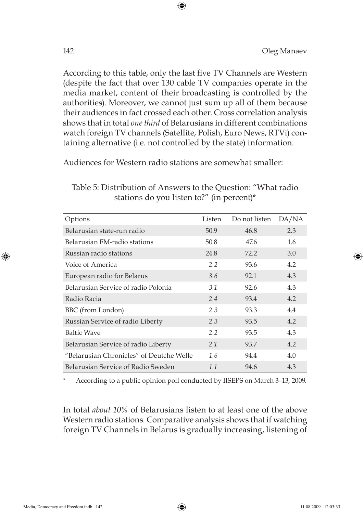According to this table, only the last five TV Channels are Western (despite the fact that over 130 cable TV companies operate in the media market, content of their broadcasting is controlled by the authorities). Moreover, we cannot just sum up all of them because their audiences in fact crossed each other. Cross correlation analysis shows that in total *one third* of Belarusians in different combinations watch foreign TV channels (Satellite, Polish, Euro News, RTVi) containing alternative (i.e. not controlled by the state) information.

⊕

Audiences for Western radio stations are somewhat smaller:

| Options                                  | Listen | Do not listen | DA/NA |
|------------------------------------------|--------|---------------|-------|
| Belarusian state-run radio               | 50.9   | 46.8          | 2.3   |
| Belarusian FM-radio stations             | 50.8   | 47.6          | 1.6   |
| Russian radio stations                   | 24.8   | 72.2          | 3.0   |
| Voice of America                         | 2.2    | 93.6          | 4.2   |
| European radio for Belarus               | 3.6    | 92.1          | 4.3   |
| Belarusian Service of radio Polonia      | 3.1    | 92.6          | 4.3   |
| Radio Racia                              | 2.4    | 93.4          | 4.2   |
| BBC (from London)                        | 2.3    | 93.3          | 4.4   |
| Russian Service of radio Liberty         | 2.3    | 93.5          | 4.2   |
| <b>Baltic Wave</b>                       | 2.2    | 93.5          | 4.3   |
| Belarusian Service of radio Liberty      | 2.1    | 93.7          | 4.2   |
| "Belarusian Chronicles" of Deutche Welle | 1.6    | 94.4          | 4.0   |
| Belarusian Service of Radio Sweden       | 1.1    | 94.6          | 4.3   |

Table 5: Distribution of Answers to the Question: "What radio stations do you listen to?" (in percent)\*

According to a public opinion poll conducted by IISEPS on March 3-13, 2009.

In total *about 10%* of Belarusians listen to at least one of the above Western radio stations. Comparative analysis shows that if watching foreign TV Channels in Belarus is gradually increasing, listening of

⊕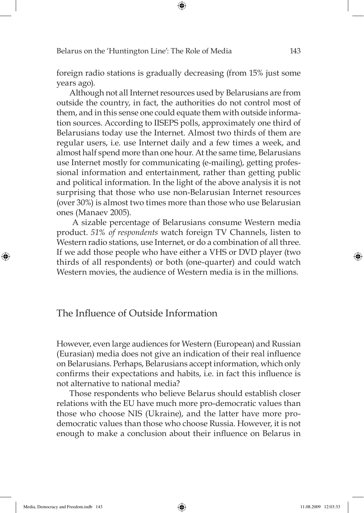foreign radio stations is gradually decreasing (from 15% just some years ago).

⊕

Although not all Internet resources used by Belarusians are from outside the country, in fact, the authorities do not control most of them, and in this sense one could equate them with outside information sources. According to IISEPS polls, approximately one third of Belarusians today use the Internet. Almost two thirds of them are regular users, i.e. use Internet daily and a few times a week, and almost half spend more than one hour. At the same time, Belarusians use Internet mostly for communicating (e-mailing), getting professional information and entertainment, rather than getting public and political information. In the light of the above analysis it is not surprising that those who use non-Belarusian Internet resources (over 30%) is almost two times more than those who use Belarusian ones (Manaev 2005).

 A sizable percentage of Belarusians consume Western media product. *51% of respondents* watch foreign TV Channels, listen to Western radio stations, use Internet, or do a combination of all three. If we add those people who have either a VHS or DVD player (two thirds of all respondents) or both (one-quarter) and could watch Western movies, the audience of Western media is in the millions.

# The Influence of Outside Information

However, even large audiences for Western (European) and Russian (Eurasian) media does not give an indication of their real influence on Belarusians. Perhaps, Belarusians accept information, which only confirms their expectations and habits, i.e. in fact this influence is not alternative to national media?

Those respondents who believe Belarus should establish closer relations with the EU have much more pro-democratic values than those who choose NIS (Ukraine), and the latter have more prodemocratic values than those who choose Russia. However, it is not enough to make a conclusion about their influence on Belarus in

⊕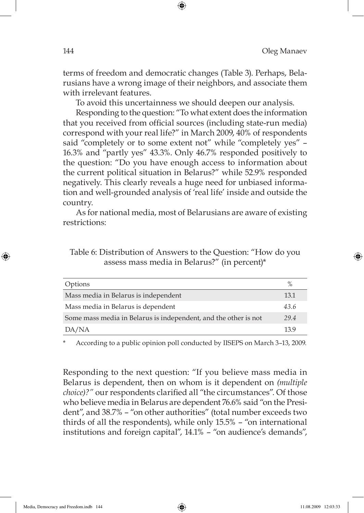terms of freedom and democratic changes (Table 3). Perhaps, Belarusians have a wrong image of their neighbors, and associate them with irrelevant features.

⊕

To avoid this uncertainness we should deepen our analysis.

Responding to the question: "To what extent does the information that you received from official sources (including state-run media) correspond with your real life?" in March 2009, 40% of respondents said "completely or to some extent not" while "completely yes" – 16.3% and "partly yes" 43.3%. Only 46.7% responded positively to the question: "Do you have enough access to information about the current political situation in Belarus?" while 52.9% responded negatively. This clearly reveals a huge need for unbiased information and well-grounded analysis of 'real life' inside and outside the country.

As for national media, most of Belarusians are aware of existing restrictions:

| Table 6: Distribution of Answers to the Question: "How do you |  |  |
|---------------------------------------------------------------|--|--|
| assess mass media in Belarus?" (in percent)*                  |  |  |

| Options                                                         | $\%$ |
|-----------------------------------------------------------------|------|
| Mass media in Belarus is independent                            | 13.1 |
| Mass media in Belarus is dependent                              | 43.6 |
| Some mass media in Belarus is independent, and the other is not | 29.4 |
| DA/NA                                                           | 13.9 |
|                                                                 |      |

According to a public opinion poll conducted by IISEPS on March 3-13, 2009.

Responding to the next question: "If you believe mass media in Belarus is dependent, then on whom is it dependent on *(multiple choice)?"* our respondents clarified all "the circumstances". Of those who believe media in Belarus are dependent 76.6% said "on the President", and 38.7% – "on other authorities" (total number exceeds two thirds of all the respondents), while only 15.5% – "on international institutions and foreign capital", 14.1% – "on audience's demands",

⊕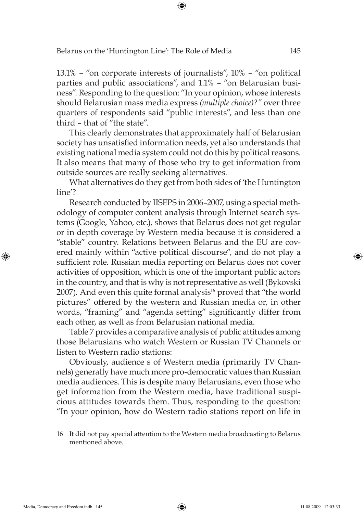13.1% – "on corporate interests of journalists", 10% – "on political parties and public associations", and 1.1% – "on Belarusian business". Responding to the question: "In your opinion, whose interests should Belarusian mass media express *(multiple choice)?"* over three quarters of respondents said "public interests", and less than one third – that of "the state".

⊕

This clearly demonstrates that approximately half of Belarusian society has unsatisfied information needs, yet also understands that existing national media system could not do this by political reasons. It also means that many of those who try to get information from outside sources are really seeking alternatives.

What alternatives do they get from both sides of 'the Huntington line'?

Research conducted by IISEPS in 2006–2007, using a special methodology of computer content analysis through Internet search systems (Google, Yahoo, etc.), shows that Belarus does not get regular or in depth coverage by Western media because it is considered a "stable" country. Relations between Belarus and the EU are covered mainly within "active political discourse", and do not play a sufficient role. Russian media reporting on Belarus does not cover activities of opposition, which is one of the important public actors in the country, and that is why is not representative as well (Bykovski 2007). And even this quite formal analysis<sup>16</sup> proved that "the world pictures" offered by the western and Russian media or, in other words, "framing" and "agenda setting" significantly differ from each other, as well as from Belarusian national media.

Table 7 provides a comparative analysis of public attitudes among those Belarusians who watch Western or Russian TV Channels or listen to Western radio stations:

Obviously, audience s of Western media (primarily TV Channels) generally have much more pro-democratic values than Russian media audiences. This is despite many Belarusians, even those who get information from the Western media, have traditional suspicious attitudes towards them. Thus, responding to the question: "In your opinion, how do Western radio stations report on life in

⊕

<sup>16</sup> It did not pay special attention to the Western media broadcasting to Belarus mentioned above.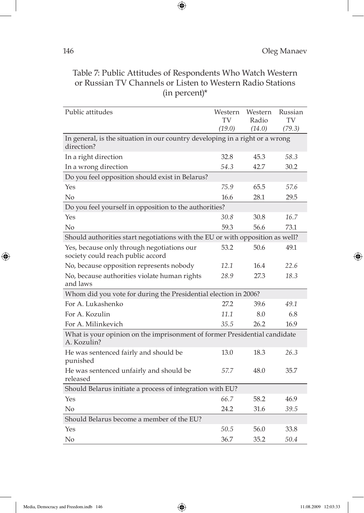# Table 7: Public Attitudes of Respondents Who Watch Western or Russian TV Channels or Listen to Western Radio Stations (in percent)\*

 $\bigoplus$ 

| Public attitudes                                                                           | Western<br>TV<br>(19.0) | Western<br>Radio<br>(14.0) | Russian<br>TV<br>(79.3) |
|--------------------------------------------------------------------------------------------|-------------------------|----------------------------|-------------------------|
| In general, is the situation in our country developing in a right or a wrong<br>direction? |                         |                            |                         |
| In a right direction                                                                       | 32.8                    | 45.3                       | 58.3                    |
| In a wrong direction                                                                       | 54.3                    | 42.7                       | 30.2                    |
| Do you feel opposition should exist in Belarus?                                            |                         |                            |                         |
| Yes                                                                                        | 75.9                    | 65.5                       | 57.6                    |
| No                                                                                         | 16.6                    | 28.1                       | 29.5                    |
| Do you feel yourself in opposition to the authorities?                                     |                         |                            |                         |
| Yes                                                                                        | 30.8                    | 30.8                       | 16.7                    |
| No                                                                                         | 59.3                    | 56.6                       | 73.1                    |
| Should authorities start negotiations with the EU or with opposition as well?              |                         |                            |                         |
| Yes, because only through negotiations our<br>society could reach public accord            | 53.2                    | 50.6                       | 49.1                    |
| No, because opposition represents nobody                                                   | 12.1                    | 16.4                       | 22.6                    |
| No, because authorities violate human rights<br>and laws                                   | 28.9                    | 27.3                       | 18.3                    |
| Whom did you vote for during the Presidential election in 2006?                            |                         |                            |                         |
| For A. Lukashenko                                                                          | 27.2                    | 39.6                       | 49.1                    |
| For A. Kozulin                                                                             | 11.1                    | 8.0                        | 6.8                     |
| For A. Milinkevich                                                                         | 35.5                    | 26.2                       | 16.9                    |
| What is your opinion on the imprisonment of former Presidential candidate<br>A. Kozulin?   |                         |                            |                         |
| He was sentenced fairly and should be<br>punished                                          | 13.0                    | 18.3                       | 26.3                    |
| He was sentenced unfairly and should be<br>released                                        | 57.7                    | 48.0                       | 35.7                    |
| Should Belarus initiate a process of integration with EU?                                  |                         |                            |                         |
| Yes                                                                                        | 66.7                    | 58.2                       | 46.9                    |
| No                                                                                         | 24.2                    | 31.6                       | 39.5                    |
| Should Belarus become a member of the EU?                                                  |                         |                            |                         |
| Yes                                                                                        | 50.5                    | 56.0                       | 33.8                    |
| No                                                                                         | 36.7                    | 35.2                       | 50.4                    |

 $\bigoplus$ 

 $\bigoplus$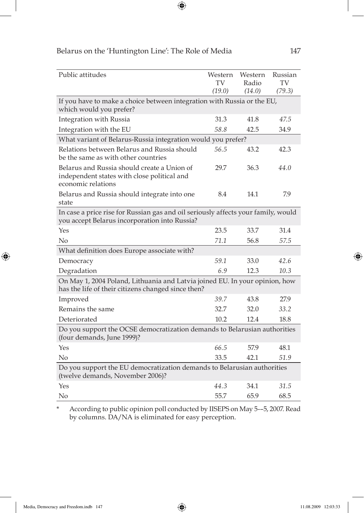| Public attitudes                                                                                                                   | Western<br>TV | Western<br>Radio | Russian<br>TV |
|------------------------------------------------------------------------------------------------------------------------------------|---------------|------------------|---------------|
|                                                                                                                                    | (19.0)        | (14.0)           | (79.3)        |
| If you have to make a choice between integration with Russia or the EU,<br>which would you prefer?                                 |               |                  |               |
| Integration with Russia                                                                                                            | 31.3          | 41.8             | 47.5          |
| Integration with the EU                                                                                                            | 58.8          | 42.5             | 34.9          |
| What variant of Belarus-Russia integration would you prefer?                                                                       |               |                  |               |
| Relations between Belarus and Russia should<br>be the same as with other countries                                                 | 56.5          | 43.2             | 42.3          |
| Belarus and Russia should create a Union of<br>independent states with close political and<br>economic relations                   | 29.7          | 36.3             | 44.0          |
| Belarus and Russia should integrate into one<br>state                                                                              | 8.4           | 14.1             | 7.9           |
| In case a price rise for Russian gas and oil seriously affects your family, would<br>you accept Belarus incorporation into Russia? |               |                  |               |
| Yes                                                                                                                                | 23.5          | 33.7             | 31.4          |
| No                                                                                                                                 | 71.1          | 56.8             | 57.5          |
| What definition does Europe associate with?                                                                                        |               |                  |               |
| Democracy                                                                                                                          | 59.1          | 33.0             | 42.6          |
| Degradation                                                                                                                        | 6.9           | 12.3             | 10.3          |
| On May 1, 2004 Poland, Lithuania and Latvia joined EU. In your opinion, how<br>has the life of their citizens changed since then?  |               |                  |               |
| Improved                                                                                                                           | 39.7          | 43.8             | 27.9          |
| Remains the same                                                                                                                   | 32.7          | 32.0             | 33.2          |
| Deteriorated                                                                                                                       | 10.2          | 12.4             | 18.8          |
| Do you support the OCSE democratization demands to Belarusian authorities<br>(four demands, June 1999)?                            |               |                  |               |
| Yes                                                                                                                                | 66.5          | 57.9             | 48.1          |
| No                                                                                                                                 | 33.5          | 42.1             | 51.9          |
| Do you support the EU democratization demands to Belarusian authorities<br>(twelve demands, November 2006)?                        |               |                  |               |
| Yes                                                                                                                                | 44.3          | 34.1             | 31.5          |
| No                                                                                                                                 | 55.7          | 65.9             | 68.5          |

 $\bigoplus$ 

\* According to public opinion poll conducted by IISEPS on May 5-–5, 2007. Read by columns. DA/NA is eliminated for easy perception.

 $\bigoplus$ 

 $\bigoplus$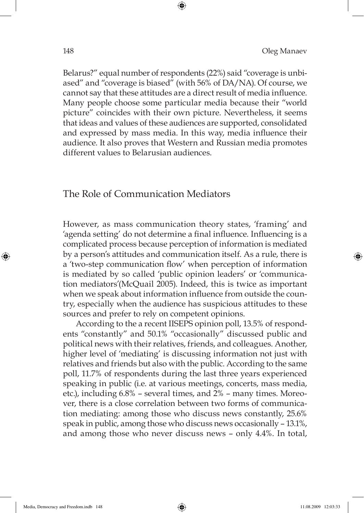Belarus?" equal number of respondents (22%) said "coverage is unbiased" and "coverage is biased" (with 56% of DA/NA). Of course, we cannot say that these attitudes are a direct result of media influence. Many people choose some particular media because their "world picture" coincides with their own picture. Nevertheless, it seems that ideas and values of these audiences are supported, consolidated and expressed by mass media. In this way, media influence their audience. It also proves that Western and Russian media promotes different values to Belarusian audiences.

⊕

### The Role of Communication Mediators

However, as mass communication theory states, 'framing' and 'agenda setting' do not determine a final influence. Influencing is a complicated process because perception of information is mediated by a person's attitudes and communication itself. As a rule, there is a 'two-step communication flow' when perception of information is mediated by so called 'public opinion leaders' or 'communication mediators'(McQuail 2005). Indeed, this is twice as important when we speak about information influence from outside the country, especially when the audience has suspicious attitudes to these sources and prefer to rely on competent opinions.

According to the a recent IISEPS opinion poll, 13.5% of respondents "constantly" and 50.1% "occasionally" discussed public and political news with their relatives, friends, and colleagues. Another, higher level of 'mediating' is discussing information not just with relatives and friends but also with the public. According to the same poll, 11.7% of respondents during the last three years experienced speaking in public (i.e. at various meetings, concerts, mass media, etc.), including 6.8% – several times, and 2% – many times. Moreover, there is a close correlation between two forms of communication mediating: among those who discuss news constantly, 25.6% speak in public, among those who discuss news occasionally – 13.1%, and among those who never discuss news – only 4.4%. In total,

⊕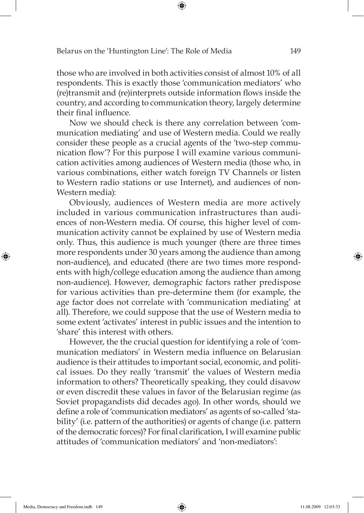those who are involved in both activities consist of almost 10% of all respondents. This is exactly those 'communication mediators' who (re)transmit and (re)interprets outside information flows inside the country, and according to communication theory, largely determine their final influence.

⊕

Now we should check is there any correlation between 'communication mediating' and use of Western media. Could we really consider these people as a crucial agents of the 'two-step communication flow'? For this purpose I will examine various communication activities among audiences of Western media (those who, in various combinations, either watch foreign TV Channels or listen to Western radio stations or use Internet), and audiences of non-Western media):

Obviously, audiences of Western media are more actively included in various communication infrastructures than audiences of non-Western media. Of course, this higher level of communication activity cannot be explained by use of Western media only. Thus, this audience is much younger (there are three times more respondents under 30 years among the audience than among non-audience), and educated (there are two times more respondents with high/college education among the audience than among non-audience). However, demographic factors rather predispose for various activities than pre-determine them (for example, the age factor does not correlate with 'communication mediating' at all). Therefore, we could suppose that the use of Western media to some extent 'activates' interest in public issues and the intention to 'share' this interest with others.

However, the the crucial question for identifying a role of 'communication mediators' in Western media influence on Belarusian audience is their attitudes to important social, economic, and political issues. Do they really 'transmit' the values of Western media information to others? Theoretically speaking, they could disavow or even discredit these values in favor of the Belarusian regime (as Soviet propagandists did decades ago). In other words, should we define a role of 'communication mediators' as agents of so-called 'stability' (i.e. pattern of the authorities) or agents of change (i.e. pattern of the democratic forces)? For final clarification, I will examine public attitudes of 'communication mediators' and 'non-mediators':

⊕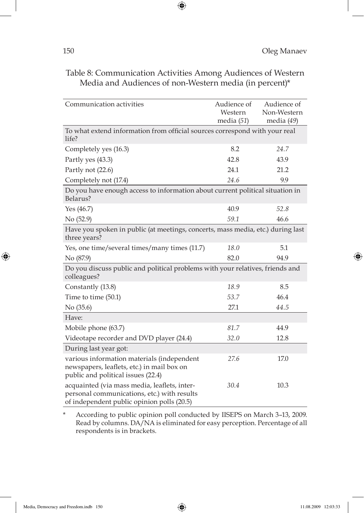| Communication activities                                                                                                                  | Audience of<br>Western<br>media $(51)$ | Audience of<br>Non-Western<br>media (49) |  |  |
|-------------------------------------------------------------------------------------------------------------------------------------------|----------------------------------------|------------------------------------------|--|--|
| To what extend information from official sources correspond with your real<br>life?                                                       |                                        |                                          |  |  |
| Completely yes (16.3)                                                                                                                     | 8.2                                    | 24.7                                     |  |  |
| Partly yes (43.3)                                                                                                                         | 42.8                                   | 43.9                                     |  |  |
| Partly not (22.6)                                                                                                                         | 24.1                                   | 21.2                                     |  |  |
| Completely not (17.4)                                                                                                                     | 24.6                                   | 9.9                                      |  |  |
| Do you have enough access to information about current political situation in<br>Belarus?                                                 |                                        |                                          |  |  |
| Yes $(46.7)$                                                                                                                              | 40.9                                   | 52.8                                     |  |  |
| No (52.9)                                                                                                                                 | 59.1                                   | 46.6                                     |  |  |
| Have you spoken in public (at meetings, concerts, mass media, etc.) during last<br>three years?                                           |                                        |                                          |  |  |
| Yes, one time/several times/many times (11.7)                                                                                             | 18.0                                   | 5.1                                      |  |  |
| No (87.9)                                                                                                                                 | 82.0                                   | 94.9                                     |  |  |
| Do you discuss public and political problems with your relatives, friends and<br>colleagues?                                              |                                        |                                          |  |  |
| Constantly (13.8)                                                                                                                         | 18.9                                   | 8.5                                      |  |  |
| Time to time (50.1)                                                                                                                       | 53.7                                   | 46.4                                     |  |  |
| No (35.6)                                                                                                                                 | 27.1                                   | 44.5                                     |  |  |
| Have:                                                                                                                                     |                                        |                                          |  |  |
| Mobile phone (63.7)                                                                                                                       | 81.7                                   | 44.9                                     |  |  |
| Videotape recorder and DVD player (24.4)                                                                                                  | 32.0                                   | 12.8                                     |  |  |
| During last year got:                                                                                                                     |                                        |                                          |  |  |
| various information materials (independent<br>newspapers, leaflets, etc.) in mail box on<br>public and political issues (22.4)            | 27.6                                   | 17.0                                     |  |  |
| acquainted (via mass media, leaflets, inter-<br>personal communications, etc.) with results<br>of independent public opinion polls (20.5) | 30.4                                   | 10.3                                     |  |  |

# Table 8: Communication Activities Among Audiences of Western Media and Audiences of non-Western media (in percent)\*

 $\bigoplus$ 

\* According to public opinion poll conducted by IISEPS on March 3–13, 2009. Read by columns. DA/NA is eliminated for easy perception. Percentage of all respondents is in brackets.

 $\bigoplus$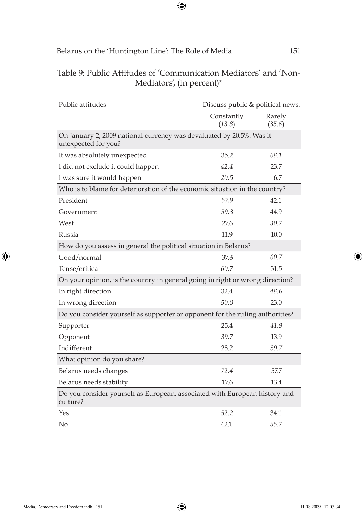$\bigoplus$ 

| Public attitudes                                                                            | Discuss public & political news: |                  |  |  |
|---------------------------------------------------------------------------------------------|----------------------------------|------------------|--|--|
|                                                                                             | Constantly<br>(13.8)             | Rarely<br>(35.6) |  |  |
| On January 2, 2009 national currency was devaluated by 20.5%. Was it<br>unexpected for you? |                                  |                  |  |  |
| It was absolutely unexpected                                                                | 35.2                             | 68.1             |  |  |
| I did not exclude it could happen                                                           | 42.4                             | 23.7             |  |  |
| I was sure it would happen                                                                  | 20.5                             | 6.7              |  |  |
| Who is to blame for deterioration of the economic situation in the country?                 |                                  |                  |  |  |
| President                                                                                   | 57.9                             | 42.1             |  |  |
| Government                                                                                  | 59.3                             | 44.9             |  |  |
| West                                                                                        | 27.6                             | 30.7             |  |  |
| Russia                                                                                      | 11.9                             | 10.0             |  |  |
| How do you assess in general the political situation in Belarus?                            |                                  |                  |  |  |
| Good/normal                                                                                 | 37.3                             | 60.7             |  |  |
| Tense/critical                                                                              | 60.7                             | 31.5             |  |  |
| On your opinion, is the country in general going in right or wrong direction?               |                                  |                  |  |  |
| In right direction                                                                          | 32.4                             | 48.6             |  |  |
| In wrong direction                                                                          | 50.0                             | 23.0             |  |  |
| Do you consider yourself as supporter or opponent for the ruling authorities?               |                                  |                  |  |  |
| Supporter                                                                                   | 25.4                             | 41.9             |  |  |
| Opponent                                                                                    | 39.7                             | 13.9             |  |  |
| Indifferent                                                                                 | 28.2                             | 39.7             |  |  |
| What opinion do you share?                                                                  |                                  |                  |  |  |
| Belarus needs changes                                                                       | 72.4                             | 57.7             |  |  |
| Belarus needs stability                                                                     | 17.6                             | 13.4             |  |  |
| Do you consider yourself as European, associated with European history and<br>culture?      |                                  |                  |  |  |
| Yes                                                                                         | 52.2                             | 34.1             |  |  |
| No                                                                                          | 42.1                             | 55.7             |  |  |

# Table 9: Public Attitudes of 'Communication Mediators' and 'Non-Mediators', (in percent)\*

 $\bigoplus$ 

 $\bigoplus$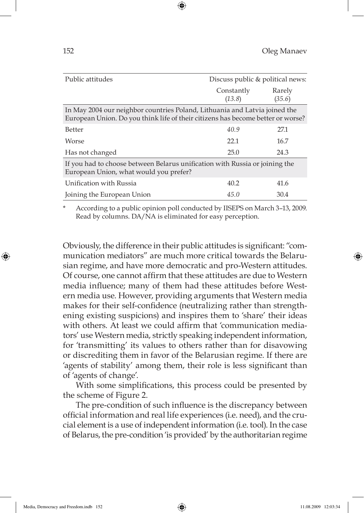| Public attitudes                                                                                                                                              | Discuss public & political news: |                  |  |  |  |  |  |  |
|---------------------------------------------------------------------------------------------------------------------------------------------------------------|----------------------------------|------------------|--|--|--|--|--|--|
|                                                                                                                                                               | Constantly<br>(13.8)             | Rarely<br>(35.6) |  |  |  |  |  |  |
| In May 2004 our neighbor countries Poland, Lithuania and Latvia joined the<br>European Union. Do you think life of their citizens has become better or worse? |                                  |                  |  |  |  |  |  |  |
| <b>Better</b>                                                                                                                                                 | 40.9                             | 27.1             |  |  |  |  |  |  |
| Worse                                                                                                                                                         | 22.1                             | 16.7             |  |  |  |  |  |  |
| Has not changed                                                                                                                                               | 25.0                             | 24.3             |  |  |  |  |  |  |
| If you had to choose between Belarus unification with Russia or joining the<br>European Union, what would you prefer?                                         |                                  |                  |  |  |  |  |  |  |
| Unification with Russia                                                                                                                                       | 40.2                             | 41.6             |  |  |  |  |  |  |
| Joining the European Union                                                                                                                                    | 45.0                             | 30.4             |  |  |  |  |  |  |

⊕

According to a public opinion poll conducted by IISEPS on March 3-13, 2009. Read by columns. DA/NA is eliminated for easy perception.

Obviously, the difference in their public attitudes is significant: "communication mediators" are much more critical towards the Belarusian regime, and have more democratic and pro-Western attitudes. Of course, one cannot affirm that these attitudes are due to Western media influence; many of them had these attitudes before Western media use. However, providing arguments that Western media makes for their self-confidence (neutralizing rather than strengthening existing suspicions) and inspires them to 'share' their ideas with others. At least we could affirm that 'communication mediators' use Western media, strictly speaking independent information, for 'transmitting' its values to others rather than for disavowing or discrediting them in favor of the Belarusian regime. If there are 'agents of stability' among them, their role is less significant than of 'agents of change'.

With some simplifications, this process could be presented by the scheme of Figure 2.

The pre-condition of such influence is the discrepancy between official information and real life experiences (i.e. need), and the crucial element is a use of independent information (i.e. tool). In the case of Belarus, the pre-condition 'is provided' by the authoritarian regime

⊕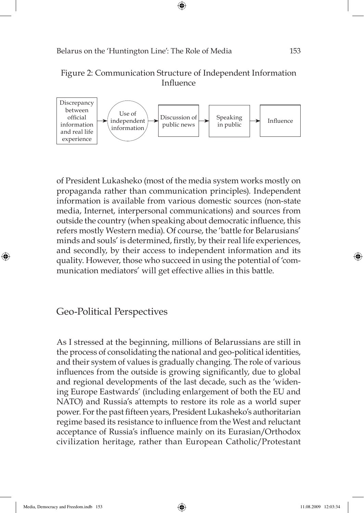

⊕



of President Lukasheko (most of the media system works mostly on propaganda rather than communication principles). Independent information is available from various domestic sources (non-state media, Internet, interpersonal communications) and sources from outside the country (when speaking about democratic influence, this refers mostly Western media). Of course, the 'battle for Belarusians' minds and souls' is determined, firstly, by their real life experiences, and secondly, by their access to independent information and its quality. However, those who succeed in using the potential of 'communication mediators' will get effective allies in this battle.

# Geo-Political Perspectives

As I stressed at the beginning, millions of Belarussians are still in the process of consolidating the national and geo-political identities, and their system of values is gradually changing. The role of various influences from the outside is growing significantly, due to global and regional developments of the last decade, such as the 'widening Europe Eastwards' (including enlargement of both the EU and NATO) and Russia's attempts to restore its role as a world super power. For the past fifteen years, President Lukasheko's authoritarian regime based its resistance to influence from the West and reluctant acceptance of Russia's influence mainly on its Eurasian/Orthodox civilization heritage, rather than European Catholic/Protestant

⊕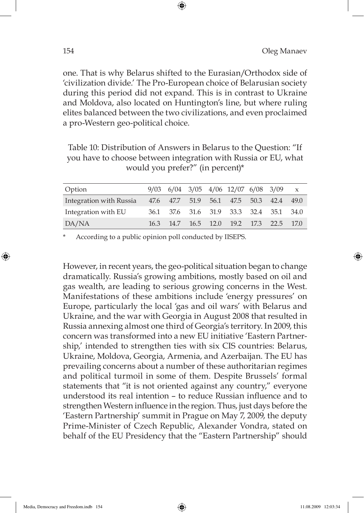one. That is why Belarus shifted to the Eurasian/Orthodox side of 'civilization divide.' The Pro-European choice of Belarusian society during this period did not expand. This is in contrast to Ukraine and Moldova, also located on Huntington's line, but where ruling elites balanced between the two civilizations, and even proclaimed a pro-Western geo-political choice.

⊕

Table 10: Distribution of Answers in Belarus to the Question: "If you have to choose between integration with Russia or EU, what would you prefer?" (in percent)\*

| Option                                                          |      |  | 9/03 6/04 3/05 4/06 12/07 6/08 3/09     |  |  |
|-----------------------------------------------------------------|------|--|-----------------------------------------|--|--|
| Integration with Russia 47.6 47.7 51.9 56.1 47.5 50.3 42.4 49.0 |      |  |                                         |  |  |
| Integration with EU                                             |      |  | 36.1 37.6 31.6 31.9 33.3 32.4 35.1 34.0 |  |  |
| DA/NA                                                           | 16.3 |  | 14.7 16.5 12.0 19.2 17.3 22.5 17.0      |  |  |

According to a public opinion poll conducted by IISEPS.

However, in recent years, the geo-political situation began to change dramatically. Russia's growing ambitions, mostly based on oil and gas wealth, are leading to serious growing concerns in the West. Manifestations of these ambitions include 'energy pressures' on Europe, particularly the local 'gas and oil wars' with Belarus and Ukraine, and the war with Georgia in August 2008 that resulted in Russia annexing almost one third of Georgia's territory. In 2009, this concern was transformed into a new EU initiative 'Eastern Partnership,' intended to strengthen ties with six CIS countries: Belarus, Ukraine, Moldova, Georgia, Armenia, and Azerbaijan. The EU has prevailing concerns about a number of these authoritarian regimes and political turmoil in some of them. Despite Brussels' formal statements that "it is not oriented against any country," everyone understood its real intention – to reduce Russian influence and to strengthen Western influence in the region. Thus, just days before the 'Eastern Partnership' summit in Prague on May 7, 2009, the deputy Prime-Minister of Czech Republic, Alexander Vondra, stated on behalf of the EU Presidency that the "Eastern Partnership" should

⊕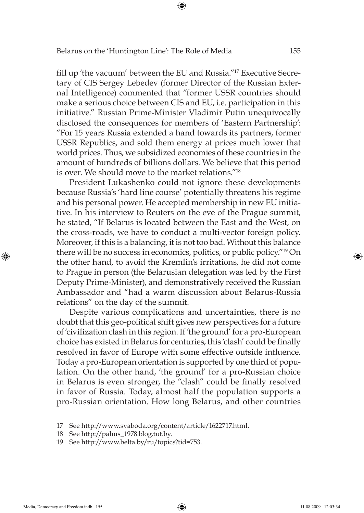fill up 'the vacuum' between the EU and Russia."<sup>17</sup> Executive Secretary of CIS Sergey Lebedev (former Director of the Russian External Intelligence) commented that "former USSR countries should make a serious choice between CIS and EU, i.e. participation in this initiative." Russian Prime-Minister Vladimir Putin unequivocally disclosed the consequences for members of 'Eastern Partnership': "For 15 years Russia extended a hand towards its partners, former USSR Republics, and sold them energy at prices much lower that world prices. Thus, we subsidized economies of these countries in the amount of hundreds of billions dollars. We believe that this period is over. We should move to the market relations."18

⊕

President Lukashenko could not ignore these developments because Russia's 'hard line course' potentially threatens his regime and his personal power. He accepted membership in new EU initiative. In his interview to Reuters on the eve of the Prague summit, he stated, "If Belarus is located between the East and the West, on the cross-roads, we have to conduct a multi-vector foreign policy. Moreover, if this is a balancing, it is not too bad. Without this balance there will be no success in economics, politics, or public policy."19 On the other hand, to avoid the Kremlin's irritations, he did not come to Prague in person (the Belarusian delegation was led by the First Deputy Prime-Minister), and demonstratively received the Russian Ambassador and "had a warm discussion about Belarus-Russia relations" on the day of the summit.

Despite various complications and uncertainties, there is no doubt that this geo-political shift gives new perspectives for a future of 'civilization clash in this region. If 'the ground' for a pro-European choice has existed in Belarus for centuries, this 'clash' could be finally resolved in favor of Europe with some effective outside influence. Today a pro-European orientation is supported by one third of population. On the other hand, 'the ground' for a pro-Russian choice in Belarus is even stronger, the "clash" could be finally resolved in favor of Russia. Today, almost half the population supports a pro-Russian orientation. How long Belarus, and other countries

⊕

<sup>17</sup> See http://www.svaboda.org/content/article/1622717.html.

<sup>18</sup> See http://pahus\_1978.blog.tut.by.

<sup>19</sup> See http://www.belta.by/ru/topics?tid=753.